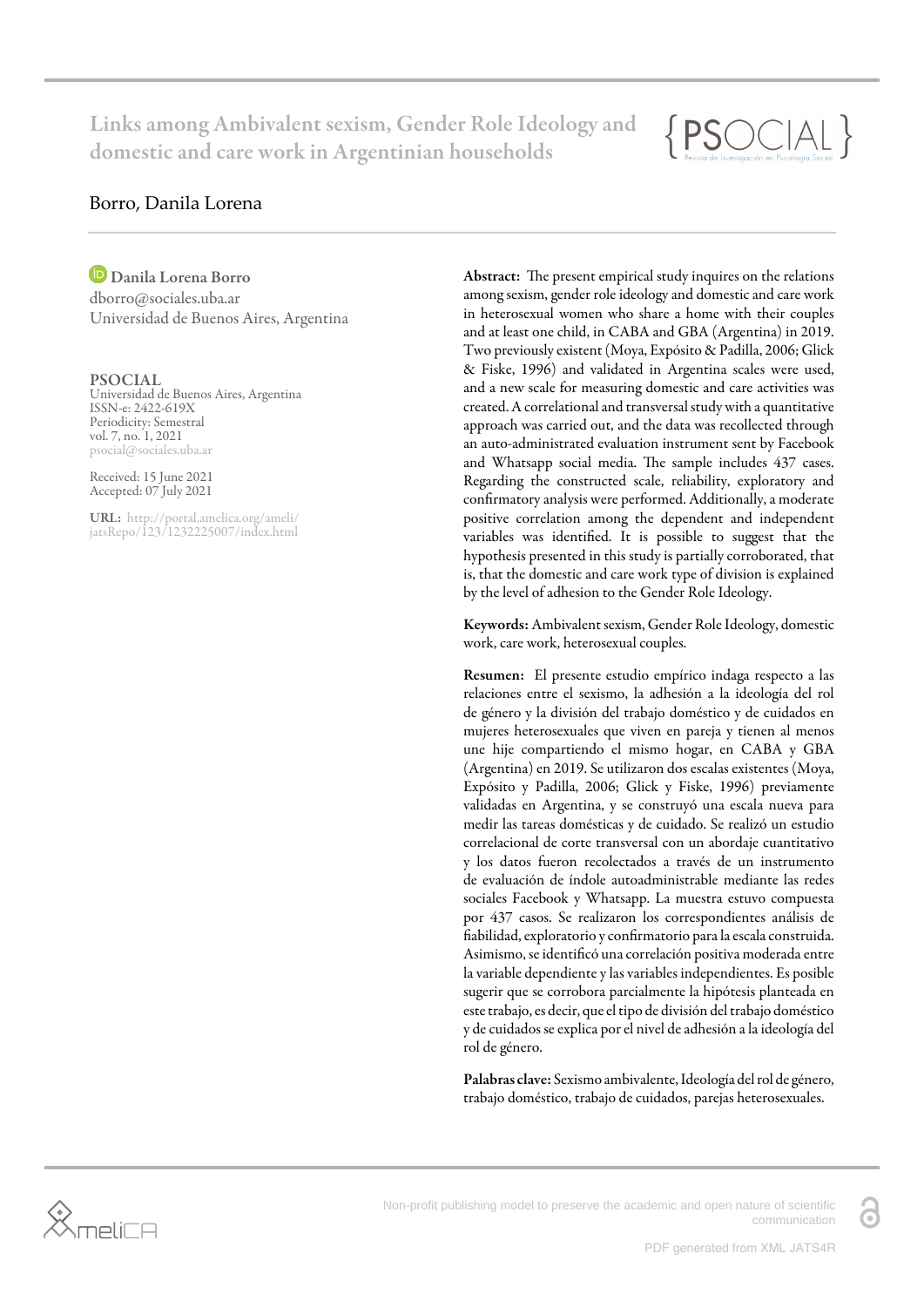Links among Ambivalent sexism, Gender Role Ideology and domestic and care work in Argentinian households



### Borro, Danila Lorena

Danila Lorena Borro dborro@sociales.uba.ar

Universidad de Buenos Aires, Argentina

PSOCIAL Universidad de Buenos Aires, Argentina ISSN-e: 2422-619X Periodicity: Semestral vol. 7, no. 1, 2021 psocial@sociales.uba.ar

Received: 15 June 2021 Accepted: 07 July 2021

URL: [http://portal.amelica.org/ameli/](http://portal.amelica.org/ameli/jatsRepo/123/1232225007/index.html) [jatsRepo/123/1232225007/index.html](http://portal.amelica.org/ameli/jatsRepo/123/1232225007/index.html) Abstract: The present empirical study inquires on the relations among sexism, gender role ideology and domestic and care work in heterosexual women who share a home with their couples and at least one child, in CABA and GBA (Argentina) in 2019. Two previously existent [\(Moya, Expósito & Padilla, 2006](#page-8-0); [Glick](#page-8-1) [& Fiske, 1996\)](#page-8-1) and validated in Argentina scales were used, and a new scale for measuring domestic and care activities was created. A correlational and transversal study with a quantitative approach was carried out, and the data was recollected through an auto-administrated evaluation instrument sent by Facebook and Whatsapp social media. The sample includes 437 cases. Regarding the constructed scale, reliability, exploratory and confirmatory analysis were performed. Additionally, a moderate positive correlation among the dependent and independent variables was identified. It is possible to suggest that the hypothesis presented in this study is partially corroborated, that is, that the domestic and care work type of division is explained by the level of adhesion to the Gender Role Ideology.

Keywords: Ambivalent sexism, Gender Role Ideology, domestic work, care work, heterosexual couples.

Resumen: El presente estudio empírico indaga respecto a las relaciones entre el sexismo, la adhesión a la ideología del rol de género y la división del trabajo doméstico y de cuidados en mujeres heterosexuales que viven en pareja y tienen al menos une hije compartiendo el mismo hogar, en CABA y GBA (Argentina) en 2019. Se utilizaron dos escalas existentes [\(Moya,](#page-8-0) [Expósito y Padilla, 2006;](#page-8-0) [Glick y Fiske, 1996\)](#page-8-1) previamente validadas en Argentina, y se construyó una escala nueva para medir las tareas domésticas y de cuidado. Se realizó un estudio correlacional de corte transversal con un abordaje cuantitativo y los datos fueron recolectados a través de un instrumento de evaluación de índole autoadministrable mediante las redes sociales Facebook y Whatsapp. La muestra estuvo compuesta por 437 casos. Se realizaron los correspondientes análisis de fiabilidad, exploratorio y confirmatorio para la escala construida. Asimismo, se identificó una correlación positiva moderada entre la variable dependiente y las variables independientes. Es posible sugerir que se corrobora parcialmente la hipótesis planteada en este trabajo, es decir, que el tipo de división del trabajo doméstico y de cuidados se explica por el nivel de adhesión a la ideología del rol de género.

Palabras clave: Sexismo ambivalente, Ideología del rol de género, trabajo doméstico, trabajo de cuidados, parejas heterosexuales.



Non-profit publishing model to preserve the academic and open nature of scientific communication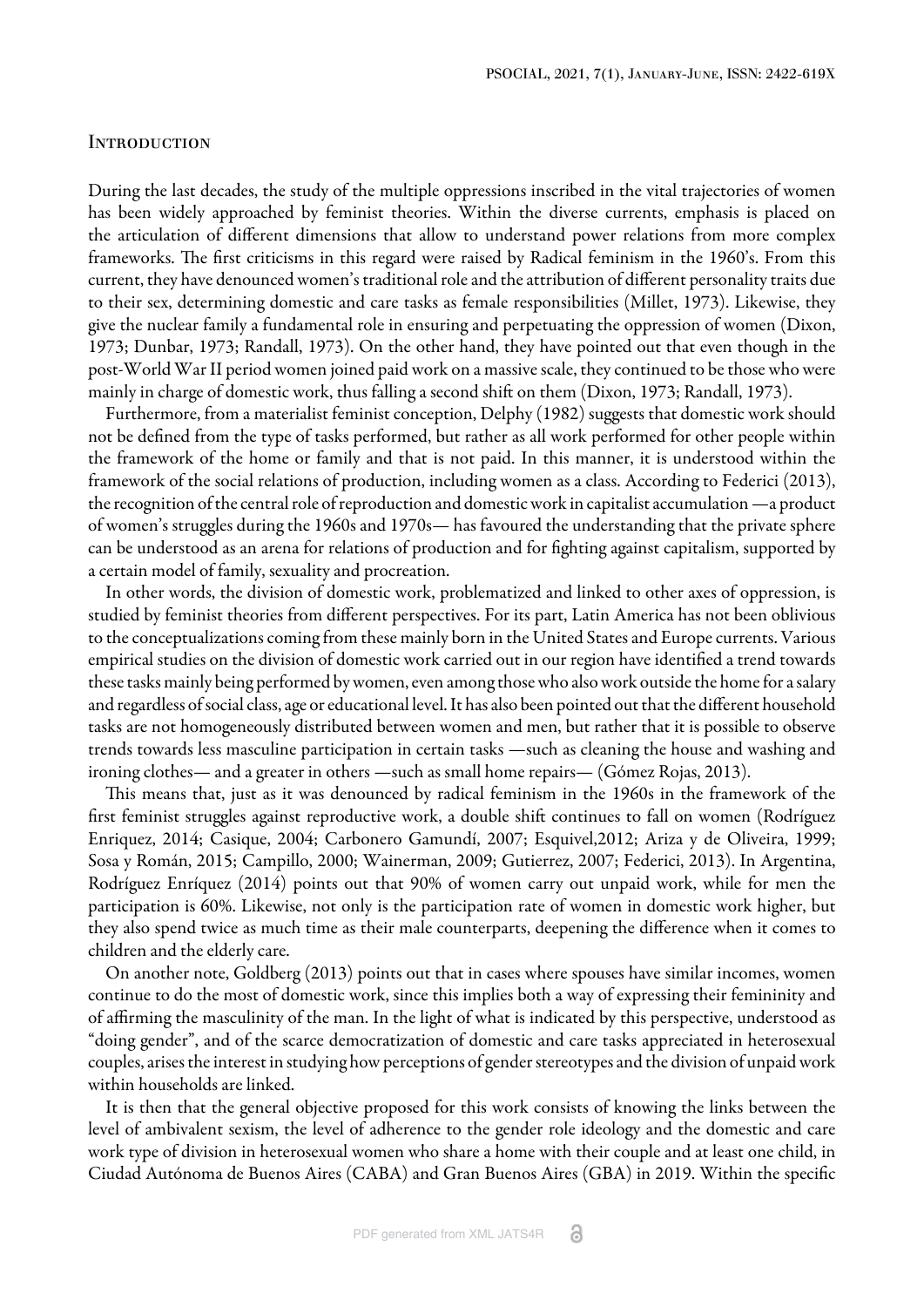#### **INTRODUCTION**

During the last decades, the study of the multiple oppressions inscribed in the vital trajectories of women has been widely approached by feminist theories. Within the diverse currents, emphasis is placed on the articulation of different dimensions that allow to understand power relations from more complex frameworks. The first criticisms in this regard were raised by Radical feminism in the 1960's. From this current, they have denounced women's traditional role and the attribution of different personality traits due to their sex, determining domestic and care tasks as female responsibilities [\(Millet, 1973\).](#page-8-2) Likewise, they give the nuclear family a fundamental role in ensuring and perpetuating the oppression of women [\(Dixon,](#page-7-0) [1973](#page-7-0); [Dunbar, 1973](#page-8-3); [Randall, 1973\).](#page-8-4) On the other hand, they have pointed out that even though in the post-World War II period women joined paid work on a massive scale, they continued to be those who were mainly in charge of domestic work, thus falling a second shift on them [\(Dixon, 1973](#page-7-0); [Randall, 1973\)](#page-8-4).

Furthermore, from a materialist feminist conception, [Delphy \(1982\)](#page-7-1) suggests that domestic work should not be defined from the type of tasks performed, but rather as all work performed for other people within the framework of the home or family and that is not paid. In this manner, it is understood within the framework of the social relations of production, including women as a class. According to [Federici \(2013\)](#page-8-5), the recognition of the central role of reproduction and domestic work in capitalist accumulation —a product of women's struggles during the 1960s and 1970s— has favoured the understanding that the private sphere can be understood as an arena for relations of production and for fighting against capitalism, supported by a certain model of family, sexuality and procreation.

In other words, the division of domestic work, problematized and linked to other axes of oppression, is studied by feminist theories from different perspectives. For its part, Latin America has not been oblivious to the conceptualizations coming from these mainly born in the United States and Europe currents. Various empirical studies on the division of domestic work carried out in our region have identified a trend towards these tasks mainly being performed by women, even among those who also work outside the home for a salary and regardless of social class, age or educational level. It has also been pointed out that the different household tasks are not homogeneously distributed between women and men, but rather that it is possible to observe trends towards less masculine participation in certain tasks —such as cleaning the house and washing and ironing clothes— and a greater in others —such as small home repairs— [\(Gómez Rojas, 2013\).](#page-8-6)

This means that, just as it was denounced by radical feminism in the 1960s in the framework of the first feminist struggles against reproductive work, a double shift continues to fall on women [\(Rodríguez](#page-8-7) [Enriquez, 2014](#page-8-7); [Casique, 2004](#page-7-2); [Carbonero Gamundí, 2007](#page-7-3)[; Esquivel,2012](#page-8-8)[; Ariza y de Oliveira, 1999;](#page-7-4) [Sosa y Román, 2015;](#page-8-9) [Campillo, 2000;](#page-7-5) [Wainerman, 2009](#page-9-0); [Gutierrez, 2007;](#page-8-10) [Federici, 2013\)](#page-8-5). In Argentina, [Rodríguez Enríquez \(2014\)](#page-8-7) points out that 90% of women carry out unpaid work, while for men the participation is 60%. Likewise, not only is the participation rate of women in domestic work higher, but they also spend twice as much time as their male counterparts, deepening the difference when it comes to children and the elderly care.

On another note, [Goldberg \(2013\)](#page-8-11) points out that in cases where spouses have similar incomes, women continue to do the most of domestic work, since this implies both a way of expressing their femininity and of affirming the masculinity of the man. In the light of what is indicated by this perspective, understood as "doing gender", and of the scarce democratization of domestic and care tasks appreciated in heterosexual couples, arises the interest in studying how perceptions of gender stereotypes and the division of unpaid work within households are linked.

It is then that the general objective proposed for this work consists of knowing the links between the level of ambivalent sexism, the level of adherence to the gender role ideology and the domestic and care work type of division in heterosexual women who share a home with their couple and at least one child, in Ciudad Autónoma de Buenos Aires (CABA) and Gran Buenos Aires (GBA) in 2019. Within the specific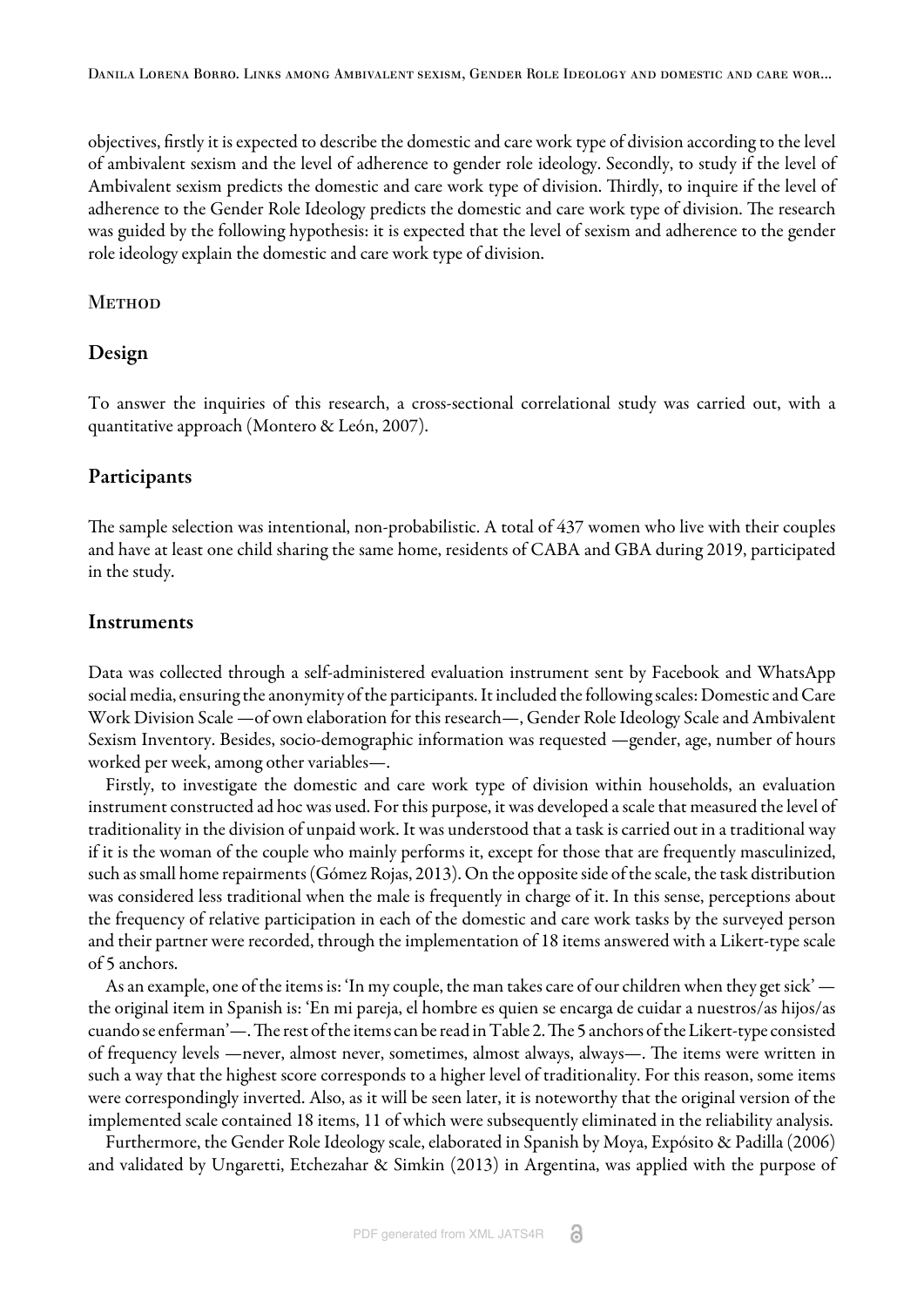Danila Lorena Borro. Links among Ambivalent sexism, Gender Role Ideology and domestic and care wor...

objectives, firstly it is expected to describe the domestic and care work type of division according to the level of ambivalent sexism and the level of adherence to gender role ideology. Secondly, to study if the level of Ambivalent sexism predicts the domestic and care work type of division. Thirdly, to inquire if the level of adherence to the Gender Role Ideology predicts the domestic and care work type of division. The research was guided by the following hypothesis: it is expected that the level of sexism and adherence to the gender role ideology explain the domestic and care work type of division.

#### **METHOD**

# Design

To answer the inquiries of this research, a cross-sectional correlational study was carried out, with a quantitative approach [\(Montero & León, 2007\).](#page-8-12)

# Participants

The sample selection was intentional, non-probabilistic. A total of 437 women who live with their couples and have at least one child sharing the same home, residents of CABA and GBA during 2019, participated in the study.

# Instruments

Data was collected through a self-administered evaluation instrument sent by Facebook and WhatsApp social media, ensuring the anonymity of the participants. It included the following scales: Domestic and Care Work Division Scale —of own elaboration for this research—, Gender Role Ideology Scale and Ambivalent Sexism Inventory. Besides, socio-demographic information was requested —gender, age, number of hours worked per week, among other variables—.

Firstly, to investigate the domestic and care work type of division within households, an evaluation instrument constructed ad hoc was used. For this purpose, it was developed a scale that measured the level of traditionality in the division of unpaid work. It was understood that a task is carried out in a traditional way if it is the woman of the couple who mainly performs it, except for those that are frequently masculinized, such as small home repairments [\(Gómez Rojas, 2013\)](#page-8-6). On the opposite side of the scale, the task distribution was considered less traditional when the male is frequently in charge of it. In this sense, perceptions about the frequency of relative participation in each of the domestic and care work tasks by the surveyed person and their partner were recorded, through the implementation of 18 items answered with a Likert-type scale of 5 anchors.

As an example, one of the items is: 'In my couple, the man takes care of our children when they get sick' the original item in Spanish is: 'En mi pareja, el hombre es quien se encarga de cuidar a nuestros/as hijos/as cuando se enferman'—. The rest of the items can be read in Table 2. The 5 anchors of the Likert-type consisted of frequency levels —never, almost never, sometimes, almost always, always—. The items were written in such a way that the highest score corresponds to a higher level of traditionality. For this reason, some items were correspondingly inverted. Also, as it will be seen later, it is noteworthy that the original version of the implemented scale contained 18 items, 11 of which were subsequently eliminated in the reliability analysis.

Furthermore, the Gender Role Ideology scale, elaborated in Spanish by [Moya, Expósito & Padilla \(2006\)](#page-8-0) and validated by [Ungaretti, Etchezahar & Simkin \(2013\)](#page-8-13) in Argentina, was applied with the purpose of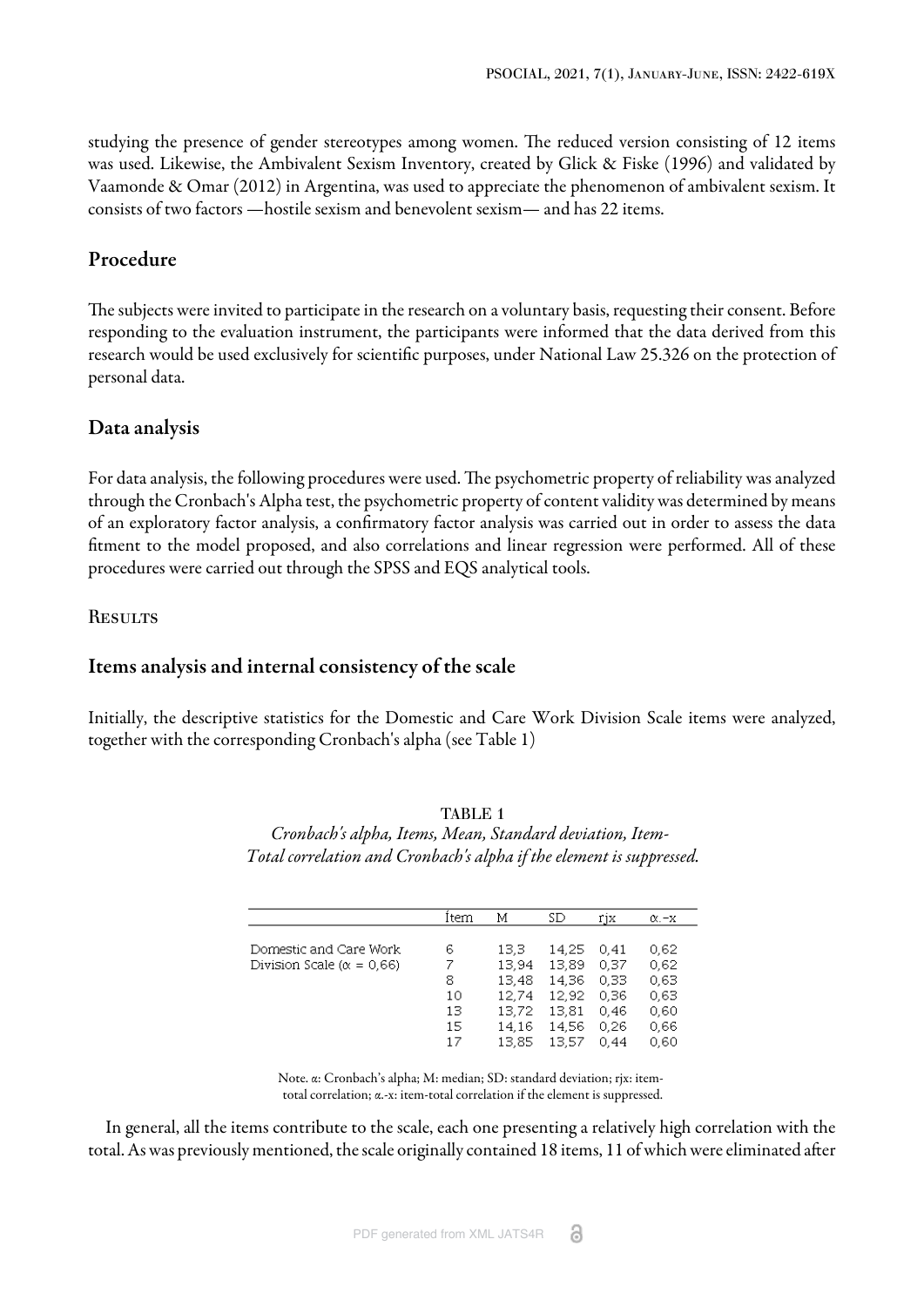studying the presence of gender stereotypes among women. The reduced version consisting of 12 items was used. Likewise, the Ambivalent Sexism Inventory, created by Glick & Fiske (1996) and validated by [Vaamonde & Omar \(2012\)](#page-8-14) in Argentina, was used to appreciate the phenomenon of ambivalent sexism. It consists of two factors —hostile sexism and benevolent sexism— and has 22 items.

## Procedure

The subjects were invited to participate in the research on a voluntary basis, requesting their consent. Before responding to the evaluation instrument, the participants were informed that the data derived from this research would be used exclusively for scientific purposes, under National Law 25.326 on the protection of personal data.

### Data analysis

For data analysis, the following procedures were used. The psychometric property of reliability was analyzed through the Cronbach's Alpha test, the psychometric property of content validity was determined by means of an exploratory factor analysis, a confirmatory factor analysis was carried out in order to assess the data fitment to the model proposed, and also correlations and linear regression were performed. All of these procedures were carried out through the SPSS and EQS analytical tools.

**RESULTS** 

#### Items analysis and internal consistency of the scale

<span id="page-3-0"></span>Initially, the descriptive statistics for the Domestic and Care Work Division Scale items were analyzed, together with the corresponding Cronbach's alpha [\(see Table 1\)](#page-3-0)

|                                    | Item | Μ      | SD    | rjx  | $\alpha$ . $-x$ |
|------------------------------------|------|--------|-------|------|-----------------|
|                                    |      |        |       |      |                 |
| Domestic and Care Work             | 6    | 13.3   | 14.25 | 0.41 | 0.62            |
| Division Scale ( $\alpha = 0.66$ ) | 7    | 13.94  | 13.89 | 0.37 | 0.62            |
|                                    | 8    | 13.48  | 14.36 | 0.33 | 0.63            |
|                                    | 10   | 12,74  | 12.92 | 0.36 | 0.63            |
|                                    | 13   | 13,72  | 13.81 | 0.46 | 0.60            |
|                                    | 15   | 14.16  | 14.56 | 0.26 | 0.66            |
|                                    | 17   | 13.85. | 13.57 | O 44 | 0.60            |

TABLE 1 *Cronbach's alpha, Items, Mean, Standard deviation, Item-Total correlation and Cronbach's alpha if the element is suppressed.*

Note. α: Cronbach's alpha; M: median; SD: standard deviation; rjx: itemtotal correlation; α.-x: item-total correlation if the element is suppressed.

In general, all the items contribute to the scale, each one presenting a relatively high correlation with the total. As was previously mentioned, the scale originally contained 18 items, 11 of which were eliminated after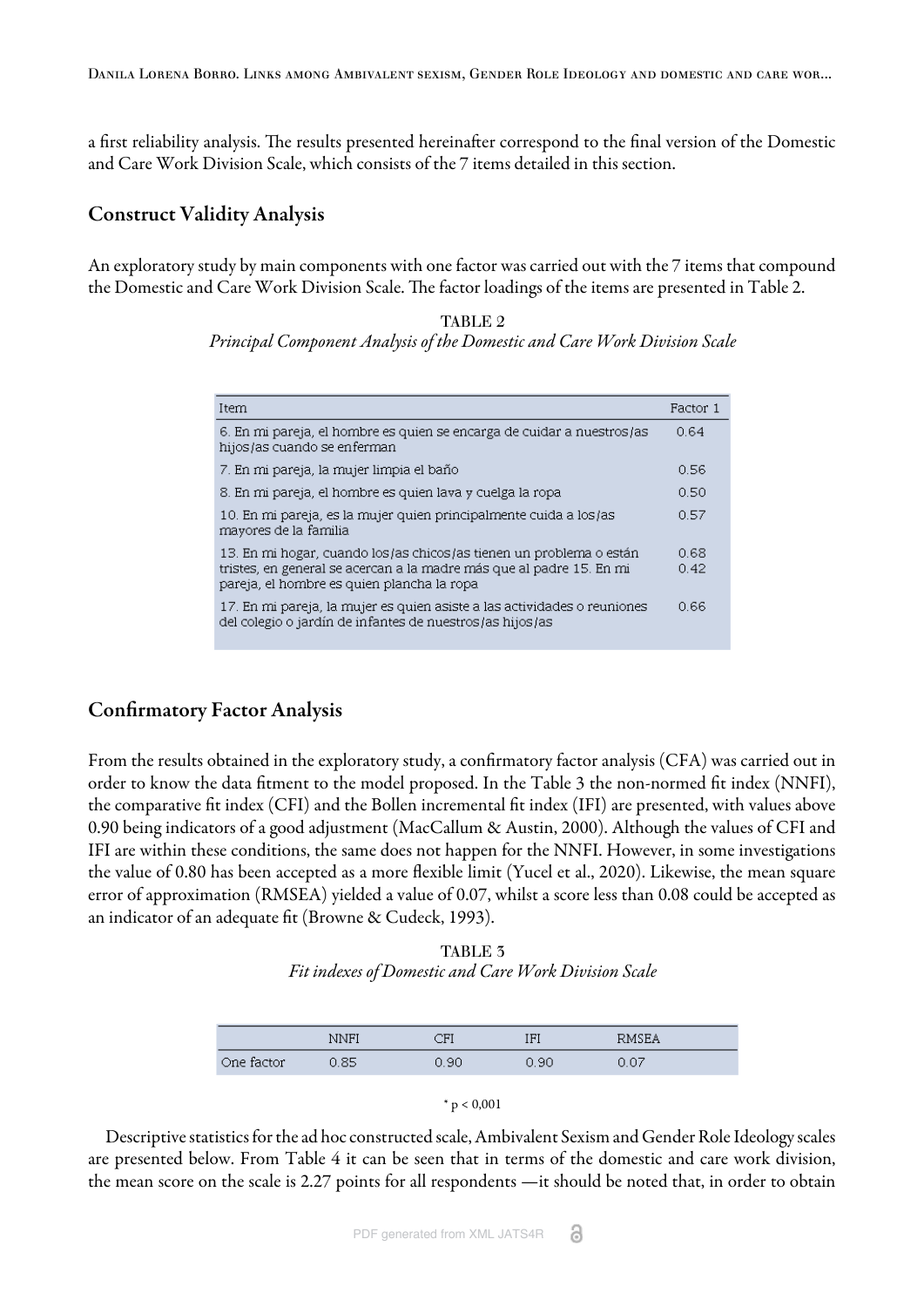Danila Lorena Borro. Links among Ambivalent sexism, Gender Role Ideology and domestic and care wor...

a first reliability analysis. The results presented hereinafter correspond to the final version of the Domestic and Care Work Division Scale, which consists of the 7 items detailed in this section.

### Construct Validity Analysis

<span id="page-4-0"></span>An exploratory study by main components with one factor was carried out with the 7 items that compound the Domestic and Care Work Division Scale. The factor loadings of the items are presented in [Table 2](#page-4-0).

> TABLE 2 *Principal Component Analysis of the Domestic and Care Work Division Scale*

| Item                                                                                                                                                                                      | Factor 1     |
|-------------------------------------------------------------------------------------------------------------------------------------------------------------------------------------------|--------------|
| 6. En mi pareja, el hombre es quien se encarga de cuidar a nuestros/as<br>hijos/as cuando se enferman                                                                                     | 0.64         |
| 7. En mi pareja, la mujer limpia el baño                                                                                                                                                  | 0.56         |
| 8. En mi pareja, el hombre es quien lava y cuelga la ropa                                                                                                                                 | 0.50         |
| 10. En mi pareja, es la mujer quien principalmente cuida a los/as<br>mayores de la familia                                                                                                | 0.57         |
| 13. En mi hogar, cuando los/as chicos/as tienen un problema o están<br>tristes, en general se acercan a la madre más que al padre 15. En mi<br>pareja, el hombre es quien plancha la ropa | 0.68<br>0.42 |
| 17. En mi pareja, la mujer es quien asiste a las actividades o reuniones<br>del colegio o jardín de infantes de nuestros/as hijos/as                                                      | 0.66         |

# Confirmatory Factor Analysis

From the results obtained in the exploratory study, a confirmatory factor analysis (CFA) was carried out in order to know the data fitment to the model proposed. In [the Table 3](#page-4-1) the non-normed fit index (NNFI), the comparative fit index (CFI) and the Bollen incremental fit index (IFI) are presented, with values above 0.90 being indicators of a good adjustment [\(MacCallum & Austin, 2000\)](#page-8-15). Although the values of CFI and IFI are within these conditions, the same does not happen for the NNFI. However, in some investigations the value of 0.80 has been accepted as a more flexible limit [\(Yucel et al., 2020\).](#page-9-1) Likewise, the mean square error of approximation (RMSEA) yielded a value of 0.07, whilst a score less than 0.08 could be accepted as an indicator of an adequate fit [\(Browne & Cudeck, 1993\)](#page-7-6).

TABLE 3 *Fit indexes of Domestic and Care Work Division Scale*

<span id="page-4-1"></span>

| <b>NNF</b> | םי  | EI<br>11 T | <b>RMSEA</b>  |
|------------|-----|------------|---------------|
| 95         | -90 | ı 90       | $-0.07$<br>v. |



Descriptive statistics for the ad hoc constructed scale, Ambivalent Sexism and Gender Role Ideology scales are presented below. From [Table 4](#page-5-0) it can be seen that in terms of the domestic and care work division, the mean score on the scale is 2.27 points for all respondents —it should be noted that, in order to obtain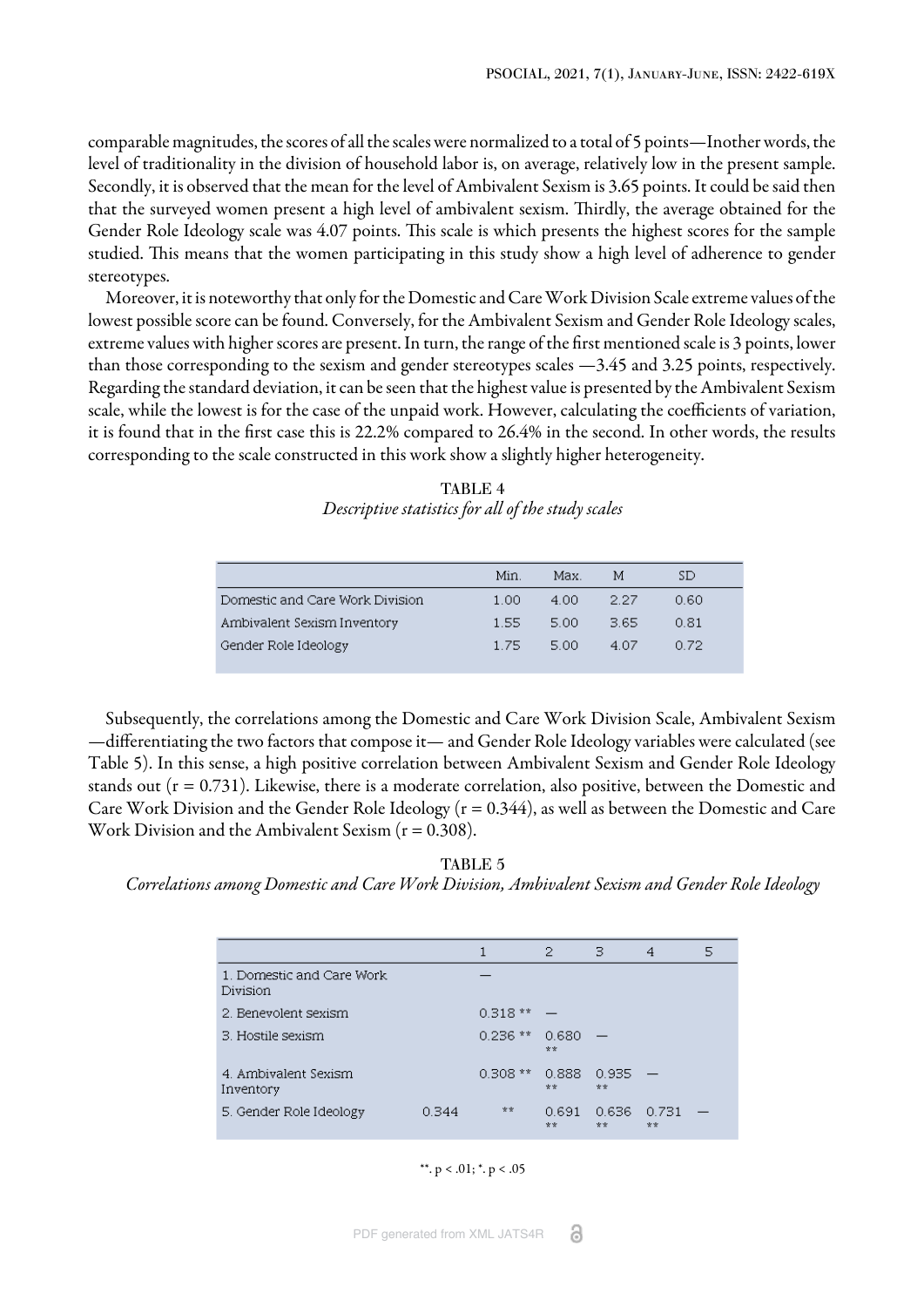comparable magnitudes, the scores of all the scales were normalized to a total of 5 points—Inother words, the level of traditionality in the division of household labor is, on average, relatively low in the present sample. Secondly, it is observed that the mean for the level of Ambivalent Sexism is 3.65 points. It could be said then that the surveyed women present a high level of ambivalent sexism. Thirdly, the average obtained for the Gender Role Ideology scale was 4.07 points. This scale is which presents the highest scores for the sample studied. This means that the women participating in this study show a high level of adherence to gender stereotypes.

Moreover, it is noteworthy that only for the Domestic and Care Work Division Scale extreme values of the lowest possible score can be found. Conversely, for the Ambivalent Sexism and Gender Role Ideology scales, extreme values with higher scores are present. In turn, the range of the first mentioned scale is 3 points, lower than those corresponding to the sexism and gender stereotypes scales —3.45 and 3.25 points, respectively. Regarding the standard deviation, it can be seen that the highest value is presented by the Ambivalent Sexism scale, while the lowest is for the case of the unpaid work. However, calculating the coefficients of variation, it is found that in the first case this is 22.2% compared to 26.4% in the second. In other words, the results corresponding to the scale constructed in this work show a slightly higher heterogeneity.

TABLE 4 *Descriptive statistics for all of the study scales*

<span id="page-5-0"></span>

|                                 | Min.    | Max.  | м     | SD.   |
|---------------------------------|---------|-------|-------|-------|
| Domestic and Care Work Division | -1-00.  | -4.00 | - 227 | .0.60 |
| Ambivalent Sexism Inventory     | -1.55.  | -5.00 | 3.65. | 0.81  |
| Gender Role Ideology            | -1-75 - | -5.00 | 4.07  | 0.72  |

Subsequently, the correlations among the Domestic and Care Work Division Scale, Ambivalent Sexism —differentiating the two factors that compose it— and Gender Role Ideology variables were calculated [\(see](#page-5-1) [Table 5\).](#page-5-1) In this sense, a high positive correlation between Ambivalent Sexism and Gender Role Ideology stands out (r = 0.731). Likewise, there is a moderate correlation, also positive, between the Domestic and Care Work Division and the Gender Role Ideology (r = 0.344), as well as between the Domestic and Care Work Division and the Ambivalent Sexism  $(r = 0.308)$ .

<span id="page-5-1"></span>TABLE 5 *Correlations among Domestic and Care Work Division, Ambivalent Sexism and Gender Role Ideology*

|                                        |       |           | 2           | з           | 4           | 5 |
|----------------------------------------|-------|-----------|-------------|-------------|-------------|---|
| 1. Domestic and Care Work.<br>Division |       |           |             |             |             |   |
| 2. Benevolent sexism                   |       | $0.318**$ |             |             |             |   |
| 3. Hostile sexism                      |       | $0.236**$ | 0.680<br>安安 |             |             |   |
| 4. Ambivalent Sexism<br>Inventory      |       | $0.308**$ | 0.888<br>** | 0.935<br>** |             |   |
| 5. Gender Role Ideology                | 0.344 | **        | 0.691<br>** | 0.636<br>** | 0.731<br>** |   |

\*\*.  $p < .01$ ; \*.  $p < .05$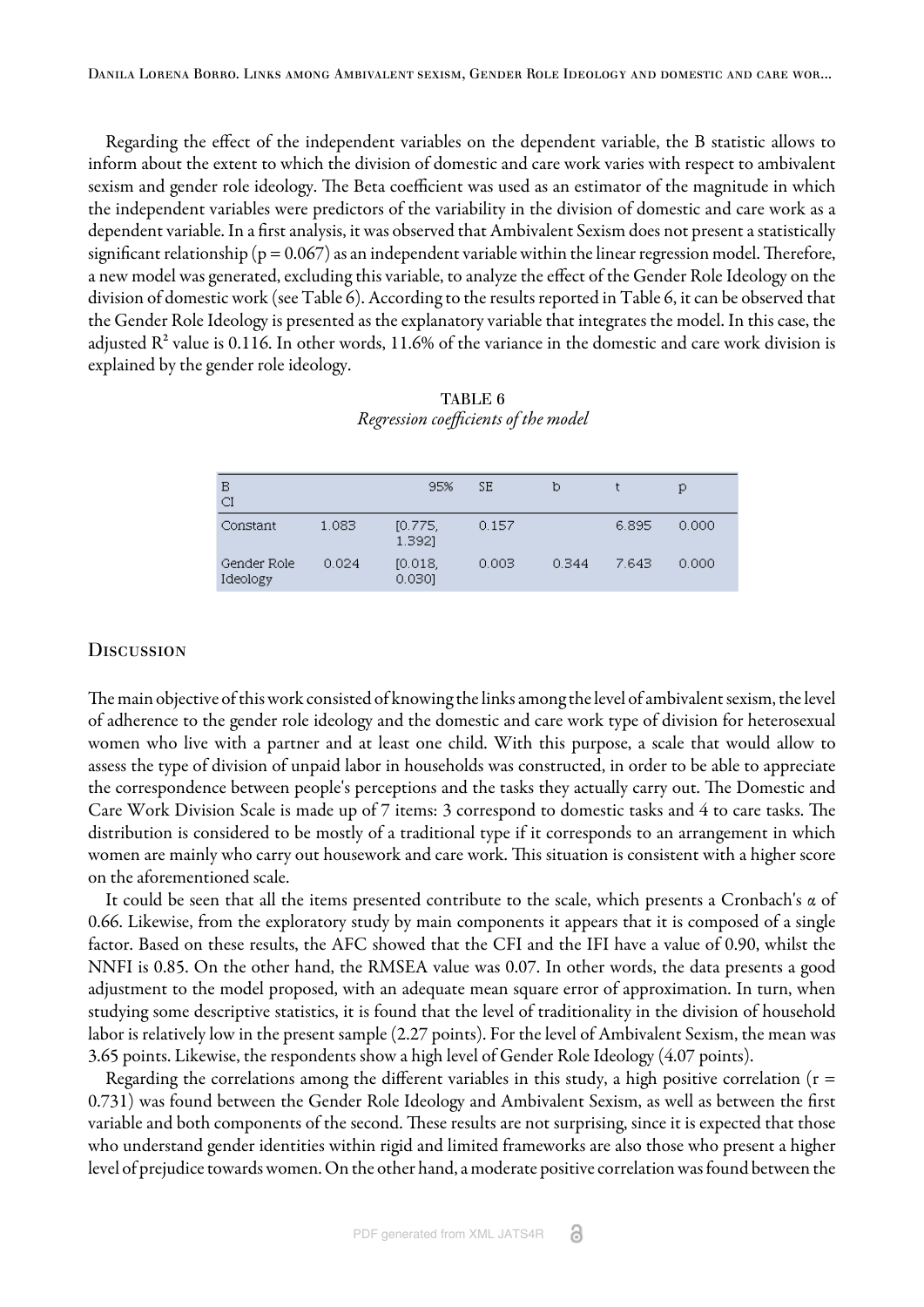Regarding the effect of the independent variables on the dependent variable, the B statistic allows to inform about the extent to which the division of domestic and care work varies with respect to ambivalent sexism and gender role ideology. The Beta coefficient was used as an estimator of the magnitude in which the independent variables were predictors of the variability in the division of domestic and care work as a dependent variable. In a first analysis, it was observed that Ambivalent Sexism does not present a statistically significant relationship ( $p = 0.067$ ) as an independent variable within the linear regression model. Therefore, a new model was generated, excluding this variable, to analyze the effect of the Gender Role Ideology on the division of domestic work [\(see Table 6\).](#page-6-0) According to the results reported in [Table 6,](#page-6-0) it can be observed that the Gender Role Ideology is presented as the explanatory variable that integrates the model. In this case, the adjusted  $\mathbb{R}^2$  value is 0.116. In other words, 11.6% of the variance in the domestic and care work division is explained by the gender role ideology.

<span id="page-6-0"></span>

| B<br>CI                 |       | 95%               | SΕ    | b     |       | Ю     |
|-------------------------|-------|-------------------|-------|-------|-------|-------|
| Constant                | 1.083 | [0.775]<br>1.3921 | 0.157 |       | 6.895 | 0.000 |
| Gender Role<br>Ideology | 0.024 | [0.018]<br>0.0301 | 0.003 | 0.344 | 7.643 | 0.000 |

TABLE 6 *Regression coefficients of the model*

#### **DISCUSSION**

The main objective of this work consisted of knowing the links among the level of ambivalent sexism, the level of adherence to the gender role ideology and the domestic and care work type of division for heterosexual women who live with a partner and at least one child. With this purpose, a scale that would allow to assess the type of division of unpaid labor in households was constructed, in order to be able to appreciate the correspondence between people's perceptions and the tasks they actually carry out. The Domestic and Care Work Division Scale is made up of 7 items: 3 correspond to domestic tasks and 4 to care tasks. The distribution is considered to be mostly of a traditional type if it corresponds to an arrangement in which women are mainly who carry out housework and care work. This situation is consistent with a higher score on the aforementioned scale.

It could be seen that all the items presented contribute to the scale, which presents a Cronbach's α of 0.66. Likewise, from the exploratory study by main components it appears that it is composed of a single factor. Based on these results, the AFC showed that the CFI and the IFI have a value of 0.90, whilst the NNFI is 0.85. On the other hand, the RMSEA value was 0.07. In other words, the data presents a good adjustment to the model proposed, with an adequate mean square error of approximation. In turn, when studying some descriptive statistics, it is found that the level of traditionality in the division of household labor is relatively low in the present sample (2.27 points). For the level of Ambivalent Sexism, the mean was 3.65 points. Likewise, the respondents show a high level of Gender Role Ideology (4.07 points).

Regarding the correlations among the different variables in this study, a high positive correlation ( $r =$ 0.731) was found between the Gender Role Ideology and Ambivalent Sexism, as well as between the first variable and both components of the second. These results are not surprising, since it is expected that those who understand gender identities within rigid and limited frameworks are also those who present a higher level of prejudice towards women. On the other hand, a moderate positive correlation was found between the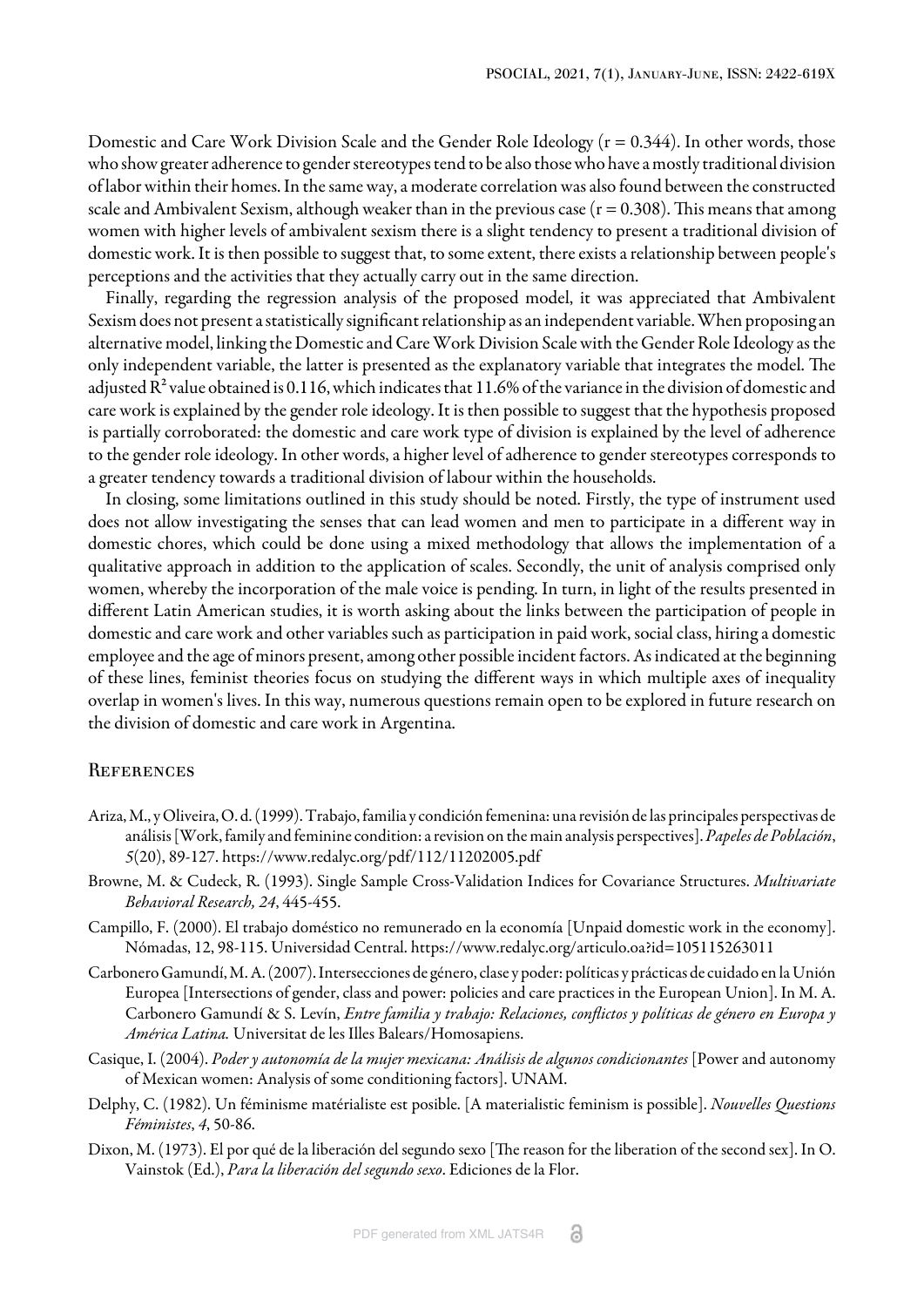Domestic and Care Work Division Scale and the Gender Role Ideology (r = 0.344). In other words, those who show greater adherence to gender stereotypes tend to be also those who have a mostly traditional division of labor within their homes. In the same way, a moderate correlation was also found between the constructed scale and Ambivalent Sexism, although weaker than in the previous case ( $r = 0.308$ ). This means that among women with higher levels of ambivalent sexism there is a slight tendency to present a traditional division of domestic work. It is then possible to suggest that, to some extent, there exists a relationship between people's perceptions and the activities that they actually carry out in the same direction.

Finally, regarding the regression analysis of the proposed model, it was appreciated that Ambivalent Sexism does not present a statistically significant relationship as an independent variable. When proposing an alternative model, linking the Domestic and Care Work Division Scale with the Gender Role Ideology as the only independent variable, the latter is presented as the explanatory variable that integrates the model. The adjusted  $R^2$  value obtained is 0.116, which indicates that 11.6% of the variance in the division of domestic and care work is explained by the gender role ideology. It is then possible to suggest that the hypothesis proposed is partially corroborated: the domestic and care work type of division is explained by the level of adherence to the gender role ideology. In other words, a higher level of adherence to gender stereotypes corresponds to a greater tendency towards a traditional division of labour within the households.

In closing, some limitations outlined in this study should be noted. Firstly, the type of instrument used does not allow investigating the senses that can lead women and men to participate in a different way in domestic chores, which could be done using a mixed methodology that allows the implementation of a qualitative approach in addition to the application of scales. Secondly, the unit of analysis comprised only women, whereby the incorporation of the male voice is pending. In turn, in light of the results presented in different Latin American studies, it is worth asking about the links between the participation of people in domestic and care work and other variables such as participation in paid work, social class, hiring a domestic employee and the age of minors present, among other possible incident factors. As indicated at the beginning of these lines, feminist theories focus on studying the different ways in which multiple axes of inequality overlap in women's lives. In this way, numerous questions remain open to be explored in future research on the division of domestic and care work in Argentina.

#### **REFERENCES**

- <span id="page-7-4"></span>Ariza, M., y Oliveira, O. d. (1999). Trabajo, familia y condición femenina: una revisión de las principales perspectivas de análisis [Work, family and feminine condition: a revision on the main analysis perspectives]. *Papeles de Población*, *5*(20), 89-127.<https://www.redalyc.org/pdf/112/11202005.pdf>
- <span id="page-7-6"></span>Browne, M. & Cudeck, R. (1993). Single Sample Cross-Validation Indices for Covariance Structures. *Multivariate Behavioral Research, 24*, 445-455.
- <span id="page-7-5"></span>Campillo, F. (2000). El trabajo doméstico no remunerado en la economía [Unpaid domestic work in the economy]. Nómadas, 12, 98-115. Universidad Central. <https://www.redalyc.org/articulo.oa?id=105115263011>
- <span id="page-7-3"></span>Carbonero Gamundí, M. A. (2007). Intersecciones de género, clase y poder: políticas y prácticas de cuidado en la Unión Europea [Intersections of gender, class and power: policies and care practices in the European Union]. In M. A. Carbonero Gamundí & S. Levín, *Entre familia y trabajo: Relaciones, conflictos y políticas de género en Europa y América Latina.* Universitat de les Illes Balears/Homosapiens.
- <span id="page-7-2"></span>Casique, I. (2004). *Poder y autonomía de la mujer mexicana: Análisis de algunos condicionantes* [Power and autonomy of Mexican women: Analysis of some conditioning factors]. UNAM.
- <span id="page-7-1"></span>Delphy, C. (1982). Un féminisme matérialiste est posible. [A materialistic feminism is possible]. *Nouvelles Questions Féministes*, *4*, 50-86.
- <span id="page-7-0"></span>Dixon, M. (1973). El por qué de la liberación del segundo sexo [The reason for the liberation of the second sex]. In O. Vainstok (Ed.), *Para la liberación del segundo sexo*. Ediciones de la Flor.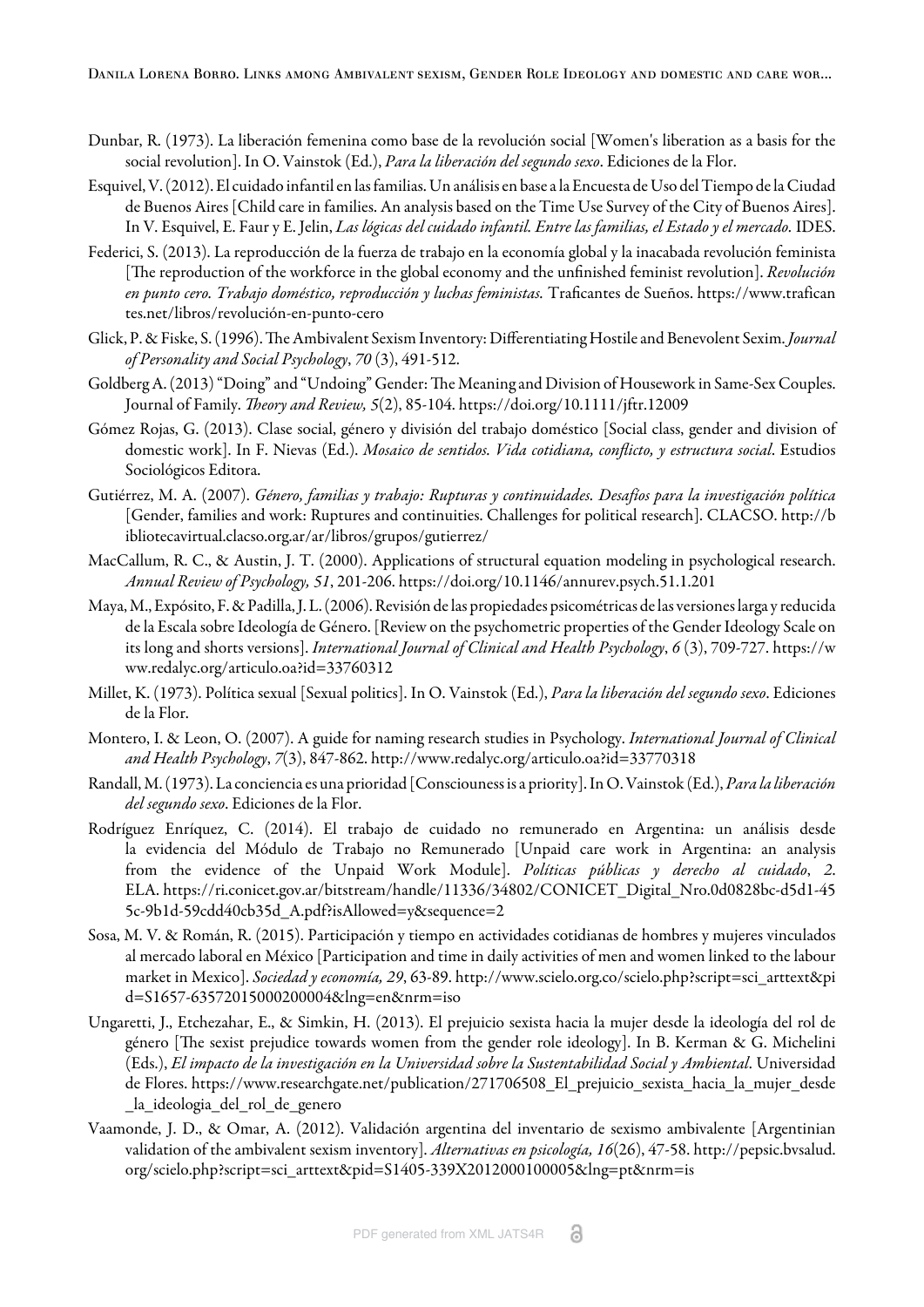- <span id="page-8-3"></span>Dunbar, R. (1973). La liberación femenina como base de la revolución social [Women's liberation as a basis for the social revolution]. In O. Vainstok (Ed.), *Para la liberación del segundo sexo*. Ediciones de la Flor.
- <span id="page-8-8"></span>Esquivel, V. (2012). El cuidado infantil en las familias. Un análisis en base a la Encuesta de Uso del Tiempo de la Ciudad de Buenos Aires [Child care in families. An analysis based on the Time Use Survey of the City of Buenos Aires]. In V. Esquivel, E. Faur y E. Jelin, *Las lógicas del cuidado infantil. Entre las familias, el Estado y el mercado.* IDES.
- <span id="page-8-5"></span>Federici, S. (2013). La reproducción de la fuerza de trabajo en la economía global y la inacabada revolución feminista [The reproduction of the workforce in the global economy and the unfinished feminist revolution]. *Revolución en punto cero. Trabajo doméstico, reproducción y luchas feministas.* Traficantes de Sueños. [https://www.trafican](https://www.traficantes.net/libros/revoluci�n-en-punto-cero) [tes.net/libros/revolución-en-punto-cero](https://www.traficantes.net/libros/revoluci�n-en-punto-cero)
- <span id="page-8-1"></span>Glick, P. & Fiske, S. (1996). The Ambivalent Sexism Inventory: Differentiating Hostile and Benevolent Sexim. *Journal of Personality and Social Psychology*, *70* (3), 491-512.
- <span id="page-8-11"></span>Goldberg A. (2013) "Doing" and "Undoing" Gender: The Meaning and Division of Housework in Same-Sex Couples. Journal of Family. *Theory and Review, 5*(2), 85-104. <https://doi.org/10.1111/jftr.12009>
- <span id="page-8-6"></span>Gómez Rojas, G. (2013). Clase social, género y división del trabajo doméstico [Social class, gender and division of domestic work]. In F. Nievas (Ed.). *Mosaico de sentidos. Vida cotidiana, conflicto, y estructura social*. Estudios Sociológicos Editora.
- <span id="page-8-10"></span>Gutiérrez, M. A. (2007). *Género, familias y trabajo: Rupturas y continuidades. Desafíos para la investigación política* [Gender, families and work: Ruptures and continuities. Challenges for political research]. CLACSO. [http://b](http://bibliotecavirtual.clacso.org.ar/ar/libros/grupos/gutierrez/) [ibliotecavirtual.clacso.org.ar/ar/libros/grupos/gutierrez/](http://bibliotecavirtual.clacso.org.ar/ar/libros/grupos/gutierrez/)
- <span id="page-8-15"></span>MacCallum, R. C., & Austin, J. T. (2000). Applications of structural equation modeling in psychological research. *Annual Review of Psychology, 51*, 201-206. <https://doi.org/10.1146/annurev.psych.51.1.201>
- <span id="page-8-0"></span>Maya, M., Expósito, F. & Padilla, J. L. (2006). Revisión de las propiedades psicométricas de las versiones larga y reducida de la Escala sobre Ideología de Género. [Review on the psychometric properties of the Gender Ideology Scale on its long and shorts versions]. *International Journal of Clinical and Health Psychology*, *6* (3), 709-727. [https://w](https://www.redalyc.org/articulo.oa?id=33760312) [ww.redalyc.org/articulo.oa?id=33760312](https://www.redalyc.org/articulo.oa?id=33760312)
- <span id="page-8-2"></span>Millet, K. (1973). Política sexual [Sexual politics]. In O. Vainstok (Ed.), *Para la liberación del segundo sexo*. Ediciones de la Flor.
- <span id="page-8-12"></span>Montero, I. & Leon, O. (2007). A guide for naming research studies in Psychology. *International Journal of Clinical and Health Psychology*, *7*(3), 847-862.<http://www.redalyc.org/articulo.oa?id=33770318>
- <span id="page-8-4"></span>Randall, M. (1973). La conciencia es una prioridad [Consciouness is a priority]. In O. Vainstok (Ed.), *Para la liberación del segundo sexo*. Ediciones de la Flor.
- <span id="page-8-7"></span>Rodríguez Enríquez, C. (2014). El trabajo de cuidado no remunerado en Argentina: un análisis desde la evidencia del Módulo de Trabajo no Remunerado [Unpaid care work in Argentina: an analysis from the evidence of the Unpaid Work Module]. *Políticas públicas y derecho al cuidado*, *2*. ELA. [https://ri.conicet.gov.ar/bitstream/handle/11336/34802/CONICET\\_Digital\\_Nro.0d0828bc-d5d1-45](https://ri.conicet.gov.ar/bitstream/handle/11336/34802/CONICET_Digital_Nro.0d0828bc-d5d1-455c-9b1d-59cdd40cb35d_A.pdf?isAllowed=y&sequence=2) [5c-9b1d-59cdd40cb35d\\_A.pdf?isAllowed=y&sequence=2](https://ri.conicet.gov.ar/bitstream/handle/11336/34802/CONICET_Digital_Nro.0d0828bc-d5d1-455c-9b1d-59cdd40cb35d_A.pdf?isAllowed=y&sequence=2)
- <span id="page-8-9"></span>Sosa, M. V. & Román, R. (2015). Participación y tiempo en actividades cotidianas de hombres y mujeres vinculados al mercado laboral en México [Participation and time in daily activities of men and women linked to the labour market in Mexico]. *Sociedad y economía, 29*, 63-89. [http://www.scielo.org.co/scielo.php?script=sci\\_arttext&pi](http://www.scielo.org.co/scielo.php?script=sci_arttext&pid=S1657-63572015000200004&lng=en&nrm=iso) [d=S1657-63572015000200004&lng=en&nrm=iso](http://www.scielo.org.co/scielo.php?script=sci_arttext&pid=S1657-63572015000200004&lng=en&nrm=iso)
- <span id="page-8-13"></span>Ungaretti, J., Etchezahar, E., & Simkin, H. (2013). El prejuicio sexista hacia la mujer desde la ideología del rol de género [The sexist prejudice towards women from the gender role ideology]. In B. Kerman & G. Michelini (Eds.), *El impacto de la investigación en la Universidad sobre la Sustentabilidad Social y Ambiental*. Universidad de Flores. [https://www.researchgate.net/publication/271706508\\_El\\_prejuicio\\_sexista\\_hacia\\_la\\_mujer\\_desde](https://www.researchgate.net/publication/271706508_El_prejuicio_sexista_hacia_la_mujer_desde_la_ideologia_del_rol_de_genero) [\\_la\\_ideologia\\_del\\_rol\\_de\\_genero](https://www.researchgate.net/publication/271706508_El_prejuicio_sexista_hacia_la_mujer_desde_la_ideologia_del_rol_de_genero)
- <span id="page-8-14"></span>Vaamonde, J. D., & Omar, A. (2012). Validación argentina del inventario de sexismo ambivalente [Argentinian validation of the ambivalent sexism inventory]. *Alternativas en psicología, 16*(26), 47-58. [http://pepsic.bvsalud.](http://pepsic.bvsalud.org/scielo.php?script=sci_arttext&pid=S1405-339X2012000100005&lng=pt&nrm=is) [org/scielo.php?script=sci\\_arttext&pid=S1405-339X2012000100005&lng=pt&nrm=is](http://pepsic.bvsalud.org/scielo.php?script=sci_arttext&pid=S1405-339X2012000100005&lng=pt&nrm=is)